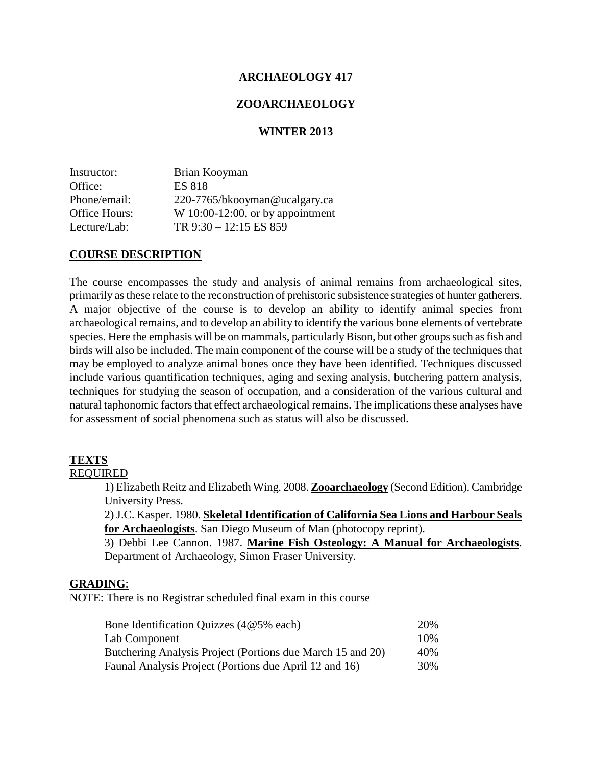## **ARCHAEOLOGY 417**

#### **ZOOARCHAEOLOGY**

#### **WINTER 2013**

| Brian Kooyman                    |
|----------------------------------|
| <b>ES 818</b>                    |
| 220-7765/bkooyman@ucalgary.ca    |
| W 10:00-12:00, or by appointment |
| TR $9:30 - 12:15$ ES 859         |
|                                  |

#### **COURSE DESCRIPTION**

The course encompasses the study and analysis of animal remains from archaeological sites, primarily as these relate to the reconstruction of prehistoric subsistence strategies of hunter gatherers. A major objective of the course is to develop an ability to identify animal species from archaeological remains, and to develop an ability to identify the various bone elements of vertebrate species. Here the emphasis will be on mammals, particularly Bison, but other groups such as fish and birds will also be included. The main component of the course will be a study of the techniques that may be employed to analyze animal bones once they have been identified. Techniques discussed include various quantification techniques, aging and sexing analysis, butchering pattern analysis, techniques for studying the season of occupation, and a consideration of the various cultural and natural taphonomic factors that effect archaeological remains. The implications these analyses have for assessment of social phenomena such as status will also be discussed.

#### **TEXTS**

## REQUIRED

1) Elizabeth Reitz and Elizabeth Wing. 2008. **Zooarchaeology** (Second Edition). Cambridge University Press.

2) J.C. Kasper. 1980. **Skeletal Identification of California Sea Lions and Harbour Seals for Archaeologists**. San Diego Museum of Man (photocopy reprint).

3) Debbi Lee Cannon. 1987. **Marine Fish Osteology: A Manual for Archaeologists**. Department of Archaeology, Simon Fraser University.

#### **GRADING**:

NOTE: There is no Registrar scheduled final exam in this course

| Bone Identification Quizzes $(4@5%$ each)                  | 20% |
|------------------------------------------------------------|-----|
| Lab Component                                              | 10% |
| Butchering Analysis Project (Portions due March 15 and 20) | 40% |
| Faunal Analysis Project (Portions due April 12 and 16)     | 30% |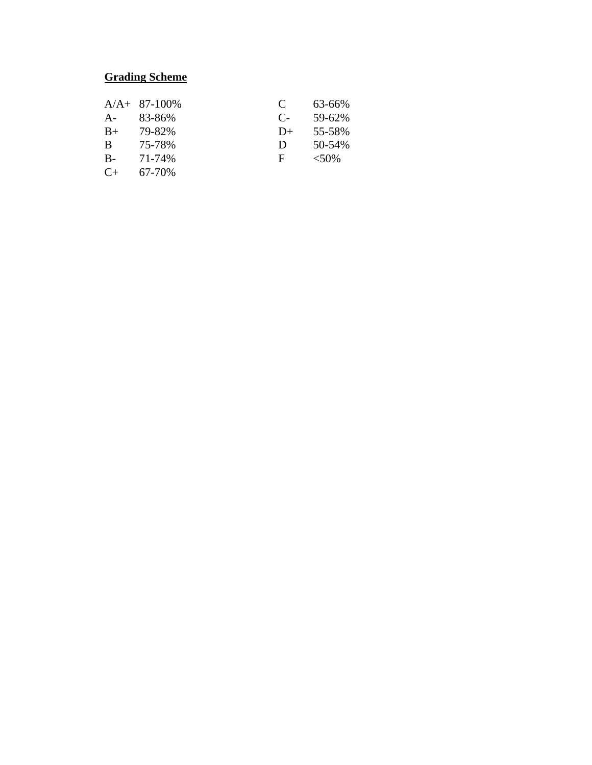# **Grading Scheme**

|       | $A/A + 87-100\%$ | C    | 63-66%   |
|-------|------------------|------|----------|
| $A -$ | 83-86%           | $C-$ | 59-62%   |
| $B+$  | 79-82%           | $D+$ | 55-58%   |
| B     | 75-78%           | D    | 50-54%   |
| $B -$ | 71-74%           | F    | $< 50\%$ |
| $C+$  | 67-70%           |      |          |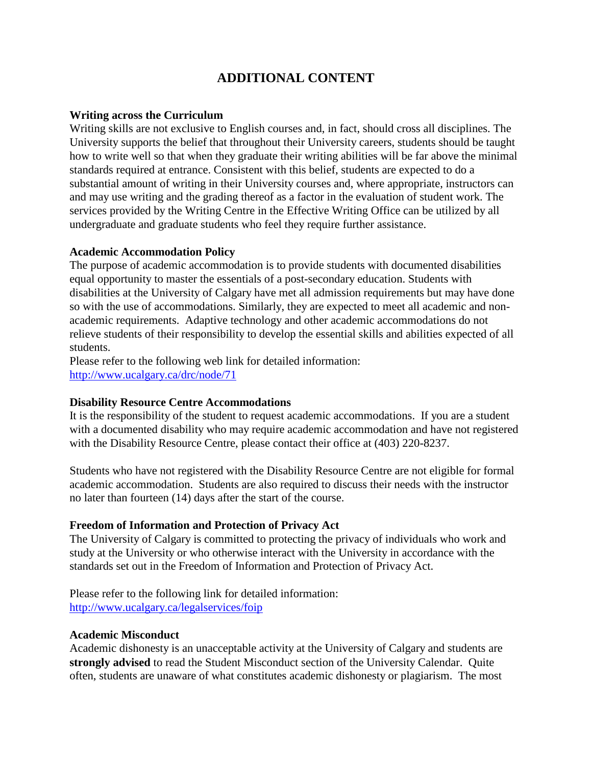# **ADDITIONAL CONTENT**

#### **Writing across the Curriculum**

Writing skills are not exclusive to English courses and, in fact, should cross all disciplines. The University supports the belief that throughout their University careers, students should be taught how to write well so that when they graduate their writing abilities will be far above the minimal standards required at entrance. Consistent with this belief, students are expected to do a substantial amount of writing in their University courses and, where appropriate, instructors can and may use writing and the grading thereof as a factor in the evaluation of student work. The services provided by the Writing Centre in the Effective Writing Office can be utilized by all undergraduate and graduate students who feel they require further assistance.

## **Academic Accommodation Policy**

The purpose of academic accommodation is to provide students with documented disabilities equal opportunity to master the essentials of a post-secondary education. Students with disabilities at the University of Calgary have met all admission requirements but may have done so with the use of accommodations. Similarly, they are expected to meet all academic and nonacademic requirements. Adaptive technology and other academic accommodations do not relieve students of their responsibility to develop the essential skills and abilities expected of all students.

Please refer to the following web link for detailed information: <http://www.ucalgary.ca/drc/node/71>

## **Disability Resource Centre Accommodations**

It is the responsibility of the student to request academic accommodations. If you are a student with a documented disability who may require academic accommodation and have not registered with the Disability Resource Centre, please contact their office at (403) 220-8237.

Students who have not registered with the Disability Resource Centre are not eligible for formal academic accommodation. Students are also required to discuss their needs with the instructor no later than fourteen (14) days after the start of the course.

## **Freedom of Information and Protection of Privacy Act**

The University of Calgary is committed to protecting the privacy of individuals who work and study at the University or who otherwise interact with the University in accordance with the standards set out in the Freedom of Information and Protection of Privacy Act.

Please refer to the following link for detailed information: <http://www.ucalgary.ca/legalservices/foip>

#### **Academic Misconduct**

Academic dishonesty is an unacceptable activity at the University of Calgary and students are **strongly advised** to read the Student Misconduct section of the University Calendar. Quite often, students are unaware of what constitutes academic dishonesty or plagiarism. The most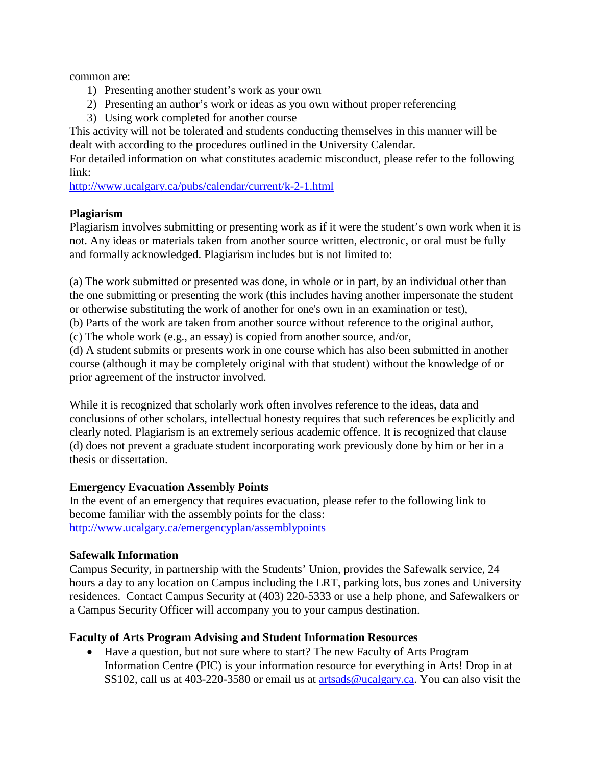common are:

- 1) Presenting another student's work as your own
- 2) Presenting an author's work or ideas as you own without proper referencing
- 3) Using work completed for another course

This activity will not be tolerated and students conducting themselves in this manner will be dealt with according to the procedures outlined in the University Calendar.

For detailed information on what constitutes academic misconduct, please refer to the following link:

<http://www.ucalgary.ca/pubs/calendar/current/k-2-1.html>

# **Plagiarism**

Plagiarism involves submitting or presenting work as if it were the student's own work when it is not. Any ideas or materials taken from another source written, electronic, or oral must be fully and formally acknowledged. Plagiarism includes but is not limited to:

(a) The work submitted or presented was done, in whole or in part, by an individual other than the one submitting or presenting the work (this includes having another impersonate the student or otherwise substituting the work of another for one's own in an examination or test),

(b) Parts of the work are taken from another source without reference to the original author,

(c) The whole work (e.g., an essay) is copied from another source, and/or,

(d) A student submits or presents work in one course which has also been submitted in another course (although it may be completely original with that student) without the knowledge of or prior agreement of the instructor involved.

While it is recognized that scholarly work often involves reference to the ideas, data and conclusions of other scholars, intellectual honesty requires that such references be explicitly and clearly noted. Plagiarism is an extremely serious academic offence. It is recognized that clause (d) does not prevent a graduate student incorporating work previously done by him or her in a thesis or dissertation.

# **Emergency Evacuation Assembly Points**

In the event of an emergency that requires evacuation, please refer to the following link to become familiar with the assembly points for the class: <http://www.ucalgary.ca/emergencyplan/assemblypoints>

# **Safewalk Information**

Campus Security, in partnership with the Students' Union, provides the Safewalk service, 24 hours a day to any location on Campus including the LRT, parking lots, bus zones and University residences. Contact Campus Security at (403) 220-5333 or use a help phone, and Safewalkers or a Campus Security Officer will accompany you to your campus destination.

# **Faculty of Arts Program Advising and Student Information Resources**

• Have a question, but not sure where to start? The new Faculty of Arts Program Information Centre (PIC) is your information resource for everything in Arts! Drop in at SS102, call us at 403-220-3580 or email us at [artsads@ucalgary.ca.](mailto:artsads@ucalgary.ca) You can also visit the